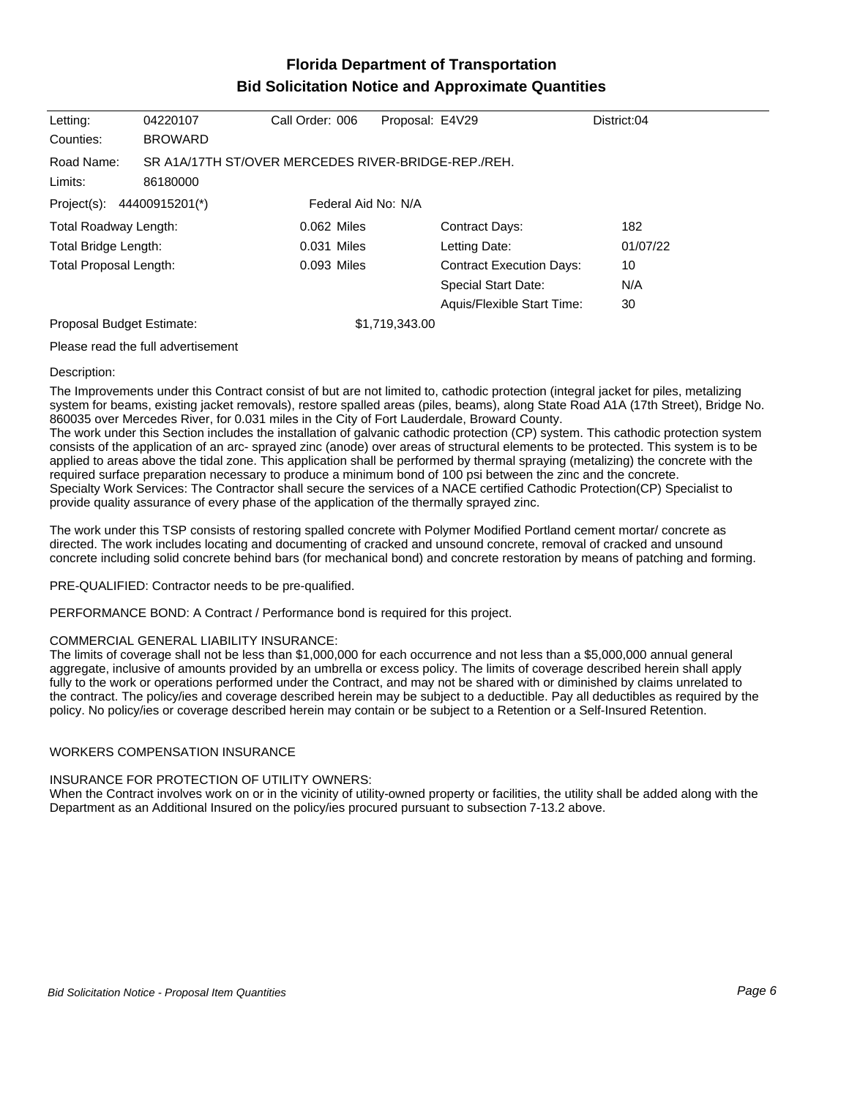## **Florida Department of Transportation Bid Solicitation Notice and Approximate Quantities**

| Letting:<br>04220107                                              |                                    | Call Order: 006     | Proposal: E4V29 |                                 | District:04 |  |
|-------------------------------------------------------------------|------------------------------------|---------------------|-----------------|---------------------------------|-------------|--|
| Counties:                                                         | <b>BROWARD</b>                     |                     |                 |                                 |             |  |
| SR A1A/17TH ST/OVER MERCEDES RIVER-BRIDGE-REP./REH.<br>Road Name: |                                    |                     |                 |                                 |             |  |
| Limits:                                                           | 86180000                           |                     |                 |                                 |             |  |
| Project(s):                                                       | 44400915201(*)                     | Federal Aid No: N/A |                 |                                 |             |  |
| Total Roadway Length:                                             |                                    | 0.062 Miles         |                 | <b>Contract Days:</b>           | 182         |  |
| Total Bridge Length:                                              |                                    | 0.031 Miles         |                 | Letting Date:                   | 01/07/22    |  |
| Total Proposal Length:                                            |                                    | 0.093 Miles         |                 | <b>Contract Execution Days:</b> | 10          |  |
|                                                                   |                                    |                     |                 | <b>Special Start Date:</b>      | N/A         |  |
|                                                                   |                                    |                     |                 | Aquis/Flexible Start Time:      | 30          |  |
| Proposal Budget Estimate:                                         |                                    | \$1,719,343.00      |                 |                                 |             |  |
|                                                                   | Please read the full advertisement |                     |                 |                                 |             |  |

#### Description:

The Improvements under this Contract consist of but are not limited to, cathodic protection (integral jacket for piles, metalizing system for beams, existing jacket removals), restore spalled areas (piles, beams), along State Road A1A (17th Street), Bridge No. 860035 over Mercedes River, for 0.031 miles in the City of Fort Lauderdale, Broward County.

The work under this Section includes the installation of galvanic cathodic protection (CP) system. This cathodic protection system consists of the application of an arc- sprayed zinc (anode) over areas of structural elements to be protected. This system is to be applied to areas above the tidal zone. This application shall be performed by thermal spraying (metalizing) the concrete with the required surface preparation necessary to produce a minimum bond of 100 psi between the zinc and the concrete. Specialty Work Services: The Contractor shall secure the services of a NACE certified Cathodic Protection(CP) Specialist to provide quality assurance of every phase of the application of the thermally sprayed zinc.

The work under this TSP consists of restoring spalled concrete with Polymer Modified Portland cement mortar/ concrete as directed. The work includes locating and documenting of cracked and unsound concrete, removal of cracked and unsound concrete including solid concrete behind bars (for mechanical bond) and concrete restoration by means of patching and forming.

PRE-QUALIFIED: Contractor needs to be pre-qualified.

PERFORMANCE BOND: A Contract / Performance bond is required for this project.

### COMMERCIAL GENERAL LIABILITY INSURANCE:

The limits of coverage shall not be less than \$1,000,000 for each occurrence and not less than a \$5,000,000 annual general aggregate, inclusive of amounts provided by an umbrella or excess policy. The limits of coverage described herein shall apply fully to the work or operations performed under the Contract, and may not be shared with or diminished by claims unrelated to the contract. The policy/ies and coverage described herein may be subject to a deductible. Pay all deductibles as required by the policy. No policy/ies or coverage described herein may contain or be subject to a Retention or a Self-Insured Retention.

### WORKERS COMPENSATION INSURANCE

#### INSURANCE FOR PROTECTION OF UTILITY OWNERS:

When the Contract involves work on or in the vicinity of utility-owned property or facilities, the utility shall be added along with the Department as an Additional Insured on the policy/ies procured pursuant to subsection 7-13.2 above.